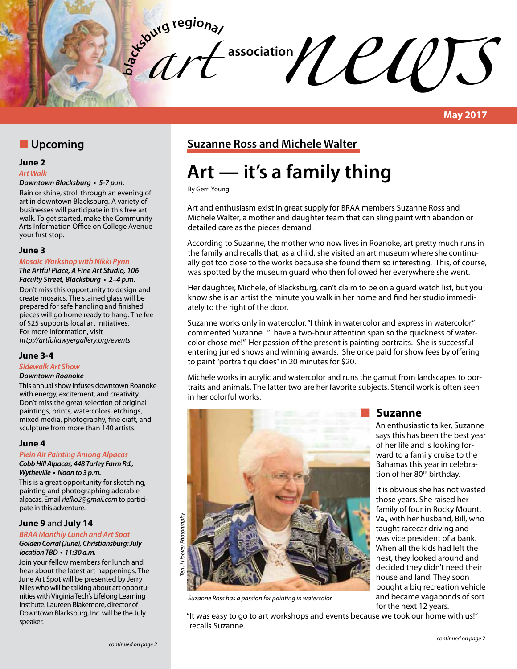**bla** *art*   $\mathcal{U}$ 

### **N** Upcoming

### **June 2**

#### *Art Walk*

### **Downtown Blacksburg • 5-7 p.m.**

Rain or shine, stroll through an evening of art in downtown Blacksburg. A variety of businesses will participate in this free art walk. To get started, make the Community Arts Information Office on College Avenue your first stop.

### **June 3**

#### **Mosaic Workshop with Nikki Pynn The Artful Place, A Fine Art Studio, 106**

**Faculty Street, Blacksburg • 2–4 p.m.**  Don't miss this opportunity to design and create mosaics. The stained glass will be prepared for safe handling and finished pieces will go home ready to hang. The fee of \$25 supports local art initiatives. For more information, visit *http://artfullawyergallery.org/events*

### **June 3-4**

### **Sidewalk Art Show**

### *Downtown Roanoke*

This annual show infuses downtown Roanoke with energy, excitement, and creativity. Don't miss the great selection of original paintings, prints, watercolors, etchings, mixed media, photography, fine craft, and sculpture from more than 140 artists.

### **June 4**

#### **Plein Air Painting Among Alpacas Cobb Hill Alpacas, 448 Turley Farm Rd., Wytheville • Noon to 3 p.m.**

This is a great opportunity for sketching, painting and photographing adorable alpacas. Email *rlefko2@gmail.com* to participate in this adventure.

### **June 9** and **July 14**

### **BRAA Monthly Lunch and Art Spot**

#### **Golden Corral (June), Christiansburg; July location TBD • 11:30 a.m.**

Join your fellow members for lunch and hear about the latest art happenings. The June Art Spot will be presented by Jerry Niles who will be talking about art opportunities with Virginia Tech's Lifelong Learning Institute. Laureen Blakemore, director of Downtown Blacksburg, Inc. will be the July speaker.

### **Suzanne Ross and Michele Walter**

# **Art — it's a family thing**

By Gerri Young

Art and enthusiasm exist in great supply for BRAA members Suzanne Ross and Michele Walter, a mother and daughter team that can sling paint with abandon or detailed care as the pieces demand.

According to Suzanne, the mother who now lives in Roanoke, art pretty much runs in the family and recalls that, as a child, she visited an art museum where she continually got too close to the works because she found them so interesting. This, of course, was spotted by the museum guard who then followed her everywhere she went.

Her daughter, Michele, of Blacksburg, can't claim to be on a guard watch list, but you know she is an artist the minute you walk in her home and find her studio immediately to the right of the door.

Suzanne works only in watercolor. "I think in watercolor and express in watercolor," commented Suzanne. "I have a two-hour attention span so the quickness of watercolor chose me!" Her passion of the present is painting portraits. She is successful entering juried shows and winning awards. She once paid for show fees by offering to paint "portrait quickies" in 20 minutes for \$20.

Michele works in acrylic and watercolor and runs the gamut from landscapes to portraits and animals. The latter two are her favorite subjects. Stencil work is often seen in her colorful works.



*Suzanne Ross has a passion for painting in watercolor.*

**Suzanne** 

An enthusiastic talker, Suzanne says this has been the best year of her life and is looking forward to a family cruise to the Bahamas this year in celebration of her 80<sup>th</sup> birthday.

It is obvious she has not wasted those years. She raised her family of four in Rocky Mount, Va., with her husband, Bill, who taught racecar driving and was vice president of a bank. When all the kids had left the nest, they looked around and decided they didn't need their house and land. They soon bought a big recreation vehicle and became vagabonds of sort for the next 12 years.

"It was easy to go to art workshops and events because we took our home with us!" recalls Suzanne.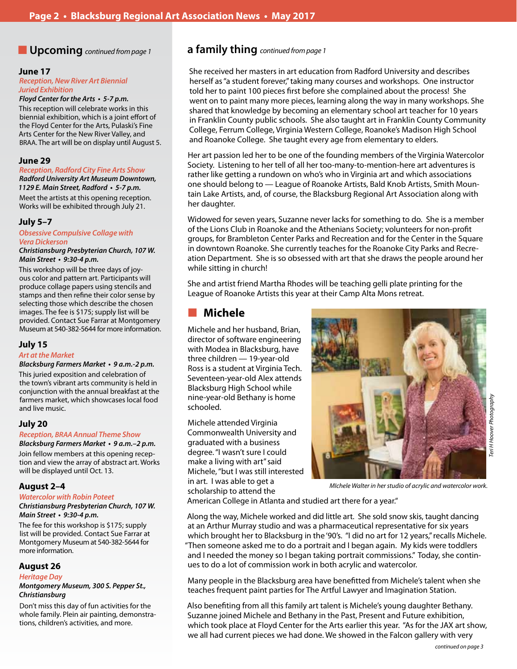#### **June 17**

**Reception, New River Art Biennial Juried Exhibition**

### **Floyd Center for the Arts • 5-7 p.m.**

This reception will celebrate works in this biennial exhibition, which is a joint effort of the Floyd Center for the Arts, Pulaski's Fine Arts Center for the New River Valley, and BRAA. The art will be on display until August 5.

#### **June 29**

**Reception, Radford City Fine Arts Show**

**Radford University Art Museum Downtown, 1129 E. Main Street, Radford • 5-7 p.m.** Meet the artists at this opening reception. Works will be exhibited through July 21.

### **July 5–7**

**Obsessive Compulsive Collage with**  *Vera Dickerson*

**Christiansburg Presbyterian Church, 107 W. Main Street • 9:30-4 p.m.**

This workshop will be three days of joyous color and pattern art. Participants will produce collage papers using stencils and stamps and then refine their color sense by selecting those which describe the chosen images. The fee is \$175; supply list will be provided. Contact Sue Farrar at Montgomery Museum at 540-382-5644 for more information.

### **July 15**

#### *Art at the Market*

**Blacksburg Farmers Market • 9 a.m.-2 p.m.** This juried exposition and celebration of the town's vibrant arts community is held in conjunction with the annual breakfast at the farmers market, which showcases local food and live music.

### **July 20**

### **Reception,** *BRAA* **Annual Theme Show**

**Blacksburg Farmers Market • 9 a.m.–2 p.m.** Join fellow members at this opening reception and view the array of abstract art. Works will be displayed until Oct. 13.

### **August 2–4**

### *Watercolor with* **Robin Poteet**

**Christiansburg Presbyterian Church, 107 W. Main Street • 9:30-4 p.m.**

The fee for this workshop is \$175; supply list will be provided. Contact Sue Farrar at Montgomery Museum at 540-382-5644 for more information.

### **August 26**

#### **Heritage Day**

**Montgomery Museum, 300 S. Pepper St.,**  *Christiansburg*

Don't miss this day of fun activities for the whole family. Plein air painting, demonstrations, children's activities, and more.

### n **Upcoming** *continued from page 1* **a family thing** *continued from page 1*

She received her masters in art education from Radford University and describes herself as "a student forever," taking many courses and workshops. One instructor told her to paint 100 pieces first before she complained about the process! She went on to paint many more pieces, learning along the way in many workshops. She shared that knowledge by becoming an elementary school art teacher for 10 years in Franklin County public schools. She also taught art in Franklin County Community College, Ferrum College, Virginia Western College, Roanoke's Madison High School and Roanoke College. She taught every age from elementary to elders.

Her art passion led her to be one of the founding members of the Virginia Watercolor Society. Listening to her tell of all her too-many-to-mention-here art adventures is rather like getting a rundown on who's who in Virginia art and which associations one should belong to — League of Roanoke Artists, Bald Knob Artists, Smith Mountain Lake Artists, and, of course, the Blacksburg Regional Art Association along with her daughter.

Widowed for seven years, Suzanne never lacks for something to do. She is a member of the Lions Club in Roanoke and the Athenians Society; volunteers for non-profit groups, for Brambleton Center Parks and Recreation and for the Center in the Square in downtown Roanoke. She currently teaches for the Roanoke City Parks and Recreation Department. She is so obsessed with art that she draws the people around her while sitting in church!

She and artist friend Martha Rhodes will be teaching gelli plate printing for the League of Roanoke Artists this year at their Camp Alta Mons retreat.

### n **Michele**

Michele and her husband, Brian, director of software engineering with Modea in Blacksburg, have three children — 19-year-old Ross is a student at Virginia Tech. Seventeen-year-old Alex attends Blacksburg High School while nine-year-old Bethany is home schooled.

Michele attended Virginia Commonwealth University and graduated with a business degree. "I wasn't sure I could make a living with art" said Michele, "but I was still interested in art. I was able to get a scholarship to attend the



*MIchele Walter in her studio of acrylic and watercolor work.*

American College in Atlanta and studied art there for a year."

Along the way, Michele worked and did little art. She sold snow skis, taught dancing at an Arthur Murray studio and was a pharmaceutical representative for six years which brought her to Blacksburg in the '90's. "I did no art for 12 years," recalls Michele. "Then someone asked me to do a portrait and I began again. My kids were toddlers and I needed the money so I began taking portrait commissions." Today, she continues to do a lot of commission work in both acrylic and watercolor.

Many people in the Blacksburg area have benefitted from Michele's talent when she teaches frequent paint parties for The Artful Lawyer and Imagination Station.

Also benefiting from all this family art talent is Michele's young daughter Bethany. Suzanne joined Michele and Bethany in the Past, Present and Future exhibition, which took place at Floyd Center for the Arts earlier this year. "As for the JAX art show, we all had current pieces we had done. We showed in the Falcon gallery with very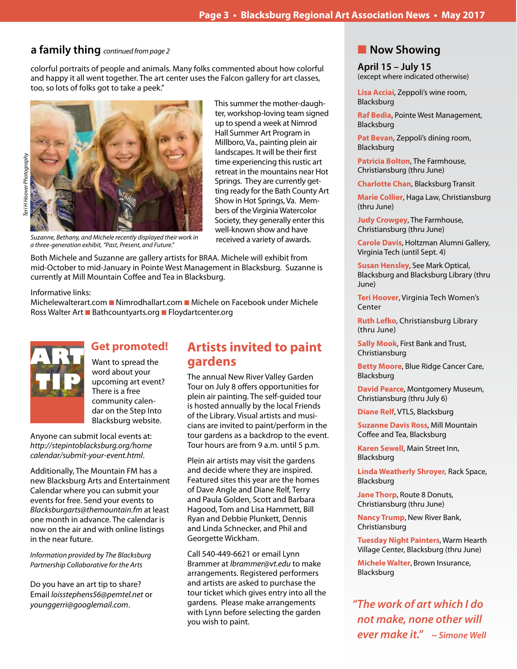### **a family thing** *continued from page 2*

colorful portraits of people and animals. Many folks commented about how colorful and happy it all went together. The art center uses the Falcon gallery for art classes, too, so lots of folks got to take a peek."



*Teri H Hoover Photography*eri H Hoover Photography

This summer the mother-daughter, workshop-loving team signed up to spend a week at Nimrod Hall Summer Art Program in Millboro, Va., painting plein air landscapes. It will be their first time experiencing this rustic art retreat in the mountains near Hot Springs. They are currently getting ready for the Bath County Art Show in Hot Springs, Va. Members of the Virginia Watercolor Society, they generally enter this well-known show and have

Suzanne, Bethany, and Michele recently displayed their work in *received a variety of awards. a three-generation exhibit, "Past, Present, and Future."*

Both Michele and Suzanne are gallery artists for BRAA. Michele will exhibit from mid-October to mid-January in Pointe West Management in Blacksburg. Suzanne is currently at Mill Mountain Coffee and Tea in Blacksburg.

### Informative links:

Michelewalterart.com Nimrodhallart.com Michele on Facebook under Michele Ross Walter Art **n** Bathcountyarts.org **n** Floydartcenter.org



### **Get promoted!**

Want to spread the word about your upcoming art event? There is a free community calendar on the Step Into Blacksburg website.

Anyone can submit local events at: *http://stepintoblacksburg.org/home calendar/submit-your-event.html*.

Additionally, The Mountain FM has a new Blacksburg Arts and Entertainment Calendar where you can submit your events for free. Send your events to *Blacksburgarts@themountain.fm* at least one month in advance. The calendar is now on the air and with online listings in the near future.

*Information provided by The Blacksburg Partnership Collaborative for the Arts*

Do you have an art tip to share? Email *loisstephens56@pemtel.net* or *younggerri@googlemail.com*.

## **Artists invited to paint gardens**

The annual New River Valley Garden Tour on July 8 offers opportunities for plein air painting. The self-guided tour is hosted annually by the local Friends of the Library. Visual artists and musicians are invited to paint/perform in the tour gardens as a backdrop to the event. Tour hours are from 9 a.m. until 5 p.m.

Plein air artists may visit the gardens and decide where they are inspired. Featured sites this year are the homes of Dave Angle and Diane Relf, Terry and Paula Golden, Scott and Barbara Hagood, Tom and Lisa Hammett, Bill Ryan and Debbie Plunkett, Dennis and Linda Schnecker, and Phil and Georgette Wickham.

Call 540-449-6621 or email Lynn Brammer at *lbrammer@vt.edu* to make arrangements. Registered performers and artists are asked to purchase the tour ticket which gives entry into all the gardens. Please make arrangements with Lynn before selecting the garden you wish to paint.

### **Now Showing**

**April 15 – July 15** (except where indicated otherwise)

**Lisa Acciai**, Zeppoli's wine room, Blacksburg

**Raf Bedia**, Pointe West Management, Blacksburg

**Pat Bevan**, Zeppoli's dining room, Blacksburg

**Patricia Bolton**, The Farmhouse, Christiansburg (thru June)

**Charlotte Chan**, Blacksburg Transit

**Marie Collier**, Haga Law, Christiansburg (thru June)

**Judy Crowgey**, The Farmhouse, Christiansburg (thru June)

**Carole Davis**, Holtzman Alumni Gallery, Virginia Tech (until Sept. 4)

**Susan Hensley**, See Mark Optical, Blacksburg and Blacksburg Library (thru June)

**Teri Hoover**, Virginia Tech Women's Center

**Ruth Lefko**, Christiansburg Library (thru June)

**Sally Mook**, First Bank and Trust, Christiansburg

**Betty Moore**, Blue Ridge Cancer Care, Blacksburg

**David Pearce**, Montgomery Museum, Christiansburg (thru July 6)

**Diane Relf**, VTLS, Blacksburg

**Suzanne Davis Ross**, Mill Mountain Coffee and Tea, Blacksburg

**Karen Sewell**, Main Street Inn, Blacksburg

**Linda Weatherly Shroyer,** Rack Space, Blacksburg

**Jane Thorp**, Route 8 Donuts, Christiansburg (thru June)

**Nancy Trump**, New River Bank, Christiansburg

**Tuesday Night Painters**, Warm Hearth Village Center, Blacksburg (thru June)

**Michele Walter**, Brown Insurance, Blacksburg

**"The work of art which I do not make, none other will ever make it."****~ Simone Well**